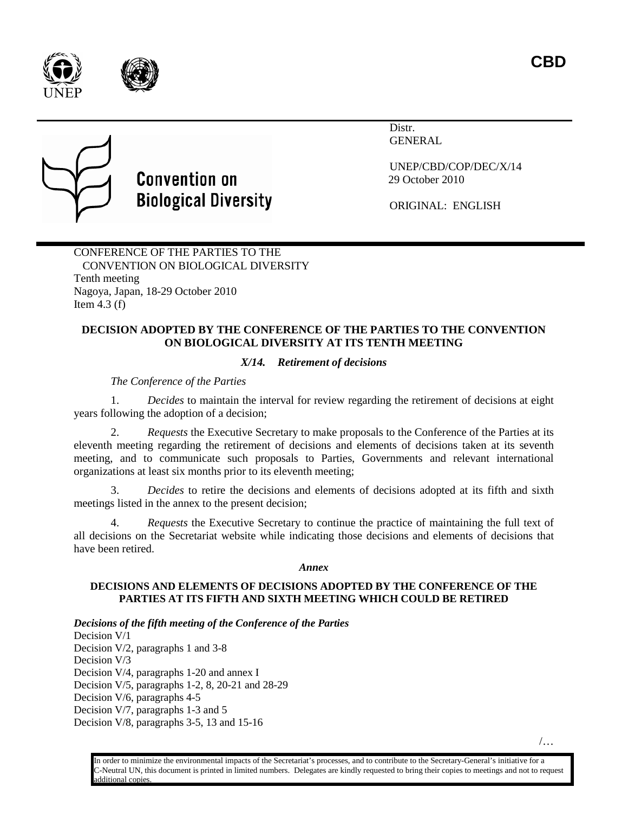





# **Convention on Biological Diversity**

Distr. GENERAL

UNEP/CBD/COP/DEC/X/14 29 October 2010

ORIGINAL: ENGLISH

CONFERENCE OF THE PARTIES TO THE CONVENTION ON BIOLOGICAL DIVERSITY Tenth meeting Nagoya, Japan, 18-29 October 2010 Item  $4.3$  (f)

## **DECISION ADOPTED BY THE CONFERENCE OF THE PARTIES TO THE CONVENTION ON BIOLOGICAL DIVERSITY AT ITS TENTH MEETING**

*X/14. Retirement of decisions*

*The Conference of the Parties* 

1. *Decides* to maintain the interval for review regarding the retirement of decisions at eight years following the adoption of a decision;

2. *Requests* the Executive Secretary to make proposals to the Conference of the Parties at its eleventh meeting regarding the retirement of decisions and elements of decisions taken at its seventh meeting, and to communicate such proposals to Parties, Governments and relevant international organizations at least six months prior to its eleventh meeting;

3. *Decides* to retire the decisions and elements of decisions adopted at its fifth and sixth meetings listed in the annex to the present decision;

4. *Requests* the Executive Secretary to continue the practice of maintaining the full text of all decisions on the Secretariat website while indicating those decisions and elements of decisions that have been retired.

#### *Annex*

### **DECISIONS AND ELEMENTS OF DECISIONS ADOPTED BY THE CONFERENCE OF THE PARTIES AT ITS FIFTH AND SIXTH MEETING WHICH COULD BE RETIRED**

*Decisions of the fifth meeting of the Conference of the Parties*

Decision V/1 Decision V/2, paragraphs 1 and 3-8 Decision V/3 Decision V/4, paragraphs 1-20 and annex I Decision V/5, paragraphs 1-2, 8, 20-21 and 28-29 Decision V/6, paragraphs 4-5 Decision V/7, paragraphs 1-3 and 5 Decision V/8, paragraphs 3-5, 13 and 15-16

/…

In order to minimize the environmental impacts of the Secretariat's processes, and to contribute to the Secretary-General's initiative for a C-Neutral UN, this document is printed in limited numbers. Delegates are kindly requested to bring their copies to meetings and not to request additional copies.